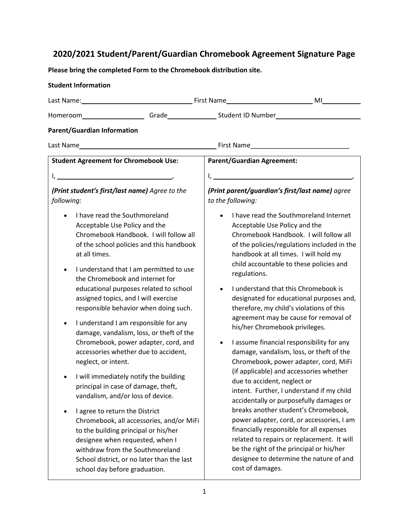## **2020/2021 Student/Parent/Guardian Chromebook Agreement Signature Page**

**Please bring the completed Form to the Chromebook distribution site.**

| <b>Student Information</b>                                                                                                                                                                                                                                                                                                                                                                                                                                                                                                                                                                                                                                                                                                                                                                                                                                                                                                                                                                                         |                                                                                                                                                                                                                                                                                                                                                                                                                                                                                                                                                                                                                                                                                                                                                                                                                                                                                                                                                                                                                                                                                            |  |
|--------------------------------------------------------------------------------------------------------------------------------------------------------------------------------------------------------------------------------------------------------------------------------------------------------------------------------------------------------------------------------------------------------------------------------------------------------------------------------------------------------------------------------------------------------------------------------------------------------------------------------------------------------------------------------------------------------------------------------------------------------------------------------------------------------------------------------------------------------------------------------------------------------------------------------------------------------------------------------------------------------------------|--------------------------------------------------------------------------------------------------------------------------------------------------------------------------------------------------------------------------------------------------------------------------------------------------------------------------------------------------------------------------------------------------------------------------------------------------------------------------------------------------------------------------------------------------------------------------------------------------------------------------------------------------------------------------------------------------------------------------------------------------------------------------------------------------------------------------------------------------------------------------------------------------------------------------------------------------------------------------------------------------------------------------------------------------------------------------------------------|--|
|                                                                                                                                                                                                                                                                                                                                                                                                                                                                                                                                                                                                                                                                                                                                                                                                                                                                                                                                                                                                                    | Last Name: Manual Last Name Manual Manual Microsoft Manual Microsoft Microsoft Microsoft Microsoft Microsoft M                                                                                                                                                                                                                                                                                                                                                                                                                                                                                                                                                                                                                                                                                                                                                                                                                                                                                                                                                                             |  |
|                                                                                                                                                                                                                                                                                                                                                                                                                                                                                                                                                                                                                                                                                                                                                                                                                                                                                                                                                                                                                    | Homeroom_____________________Grade_________________Student ID Number________________________________                                                                                                                                                                                                                                                                                                                                                                                                                                                                                                                                                                                                                                                                                                                                                                                                                                                                                                                                                                                       |  |
| <b>Parent/Guardian Information</b>                                                                                                                                                                                                                                                                                                                                                                                                                                                                                                                                                                                                                                                                                                                                                                                                                                                                                                                                                                                 |                                                                                                                                                                                                                                                                                                                                                                                                                                                                                                                                                                                                                                                                                                                                                                                                                                                                                                                                                                                                                                                                                            |  |
|                                                                                                                                                                                                                                                                                                                                                                                                                                                                                                                                                                                                                                                                                                                                                                                                                                                                                                                                                                                                                    |                                                                                                                                                                                                                                                                                                                                                                                                                                                                                                                                                                                                                                                                                                                                                                                                                                                                                                                                                                                                                                                                                            |  |
| <b>Student Agreement for Chromebook Use:</b>                                                                                                                                                                                                                                                                                                                                                                                                                                                                                                                                                                                                                                                                                                                                                                                                                                                                                                                                                                       | <b>Parent/Guardian Agreement:</b>                                                                                                                                                                                                                                                                                                                                                                                                                                                                                                                                                                                                                                                                                                                                                                                                                                                                                                                                                                                                                                                          |  |
| l, <u>_________________________________</u> _____                                                                                                                                                                                                                                                                                                                                                                                                                                                                                                                                                                                                                                                                                                                                                                                                                                                                                                                                                                  |                                                                                                                                                                                                                                                                                                                                                                                                                                                                                                                                                                                                                                                                                                                                                                                                                                                                                                                                                                                                                                                                                            |  |
| (Print student's first/last name) Agree to the<br>following:                                                                                                                                                                                                                                                                                                                                                                                                                                                                                                                                                                                                                                                                                                                                                                                                                                                                                                                                                       | (Print parent/guardian's first/last name) agree<br>to the following:                                                                                                                                                                                                                                                                                                                                                                                                                                                                                                                                                                                                                                                                                                                                                                                                                                                                                                                                                                                                                       |  |
| I have read the Southmoreland<br>$\bullet$<br>Acceptable Use Policy and the<br>Chromebook Handbook. I will follow all<br>of the school policies and this handbook<br>at all times.<br>I understand that I am permitted to use<br>$\bullet$<br>the Chromebook and internet for<br>educational purposes related to school<br>assigned topics, and I will exercise<br>responsible behavior when doing such.<br>I understand I am responsible for any<br>$\bullet$<br>damage, vandalism, loss, or theft of the<br>Chromebook, power adapter, cord, and<br>accessories whether due to accident,<br>neglect, or intent.<br>I will immediately notify the building<br>principal in case of damage, theft,<br>vandalism, and/or loss of device.<br>I agree to return the District<br>Chromebook, all accessories, and/or MiFi<br>to the building principal or his/her<br>designee when requested, when I<br>withdraw from the Southmoreland<br>School district, or no later than the last<br>school day before graduation. | I have read the Southmoreland Internet<br>Acceptable Use Policy and the<br>Chromebook Handbook. I will follow all<br>of the policies/regulations included in the<br>handbook at all times. I will hold my<br>child accountable to these policies and<br>regulations.<br>I understand that this Chromebook is<br>designated for educational purposes and,<br>therefore, my child's violations of this<br>agreement may be cause for removal of<br>his/her Chromebook privileges.<br>I assume financial responsibility for any<br>$\bullet$<br>damage, vandalism, loss, or theft of the<br>Chromebook, power adapter, cord, MiFi<br>(if applicable) and accessories whether<br>due to accident, neglect or<br>intent. Further, I understand if my child<br>accidentally or purposefully damages or<br>breaks another student's Chromebook,<br>power adapter, cord, or accessories, I am<br>financially responsible for all expenses<br>related to repairs or replacement. It will<br>be the right of the principal or his/her<br>designee to determine the nature of and<br>cost of damages. |  |